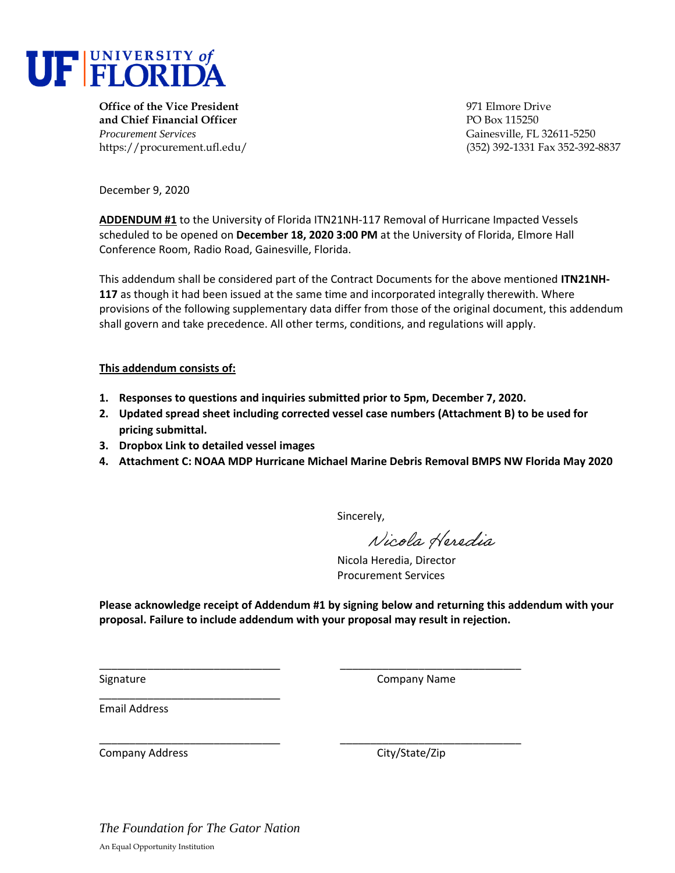

**Office of the Vice President** 1971 Elmore Drive 1971 Elmore Drive **and Chief Financial Officer PO Box 115250** *Procurement Services* Gainesville, FL 32611-5250

https://procurement.ufl.edu/ (352) 392-1331 Fax 352-392-8837

December 9, 2020

**ADDENDUM #1** to the University of Florida ITN21NH-117 Removal of Hurricane Impacted Vessels scheduled to be opened on **December 18, 2020 3:00 PM** at the University of Florida, Elmore Hall Conference Room, Radio Road, Gainesville, Florida.

This addendum shall be considered part of the Contract Documents for the above mentioned **ITN21NH-117** as though it had been issued at the same time and incorporated integrally therewith. Where provisions of the following supplementary data differ from those of the original document, this addendum shall govern and take precedence. All other terms, conditions, and regulations will apply.

#### **This addendum consists of:**

**1. Responses to questions and inquiries submitted prior to 5pm, December 7, 2020.** 

\_\_\_\_\_\_\_\_\_\_\_\_\_\_\_\_\_\_\_\_\_\_\_\_\_\_\_\_\_\_ \_\_\_\_\_\_\_\_\_\_\_\_\_\_\_\_\_\_\_\_\_\_\_\_\_\_\_\_\_\_

\_\_\_\_\_\_\_\_\_\_\_\_\_\_\_\_\_\_\_\_\_\_\_\_\_\_\_\_\_\_ \_\_\_\_\_\_\_\_\_\_\_\_\_\_\_\_\_\_\_\_\_\_\_\_\_\_\_\_\_\_

- **2. Updated spread sheet including corrected vessel case numbers (Attachment B) to be used for pricing submittal.**
- **3. Dropbox Link to detailed vessel images**
- **4. Attachment C: NOAA MDP Hurricane Michael Marine Debris Removal BMPS NW Florida May 2020**

Sincerely,

Nicola Heredia

Nicola Heredia, Director Procurement Services

**Please acknowledge receipt of Addendum #1 by signing below and returning this addendum with your proposal. Failure to include addendum with your proposal may result in rejection.** 

Signature Company Name

Email Address

Company Address Company Address City/State/Zip

*The Foundation for The Gator Nation* An Equal Opportunity Institution

\_\_\_\_\_\_\_\_\_\_\_\_\_\_\_\_\_\_\_\_\_\_\_\_\_\_\_\_\_\_